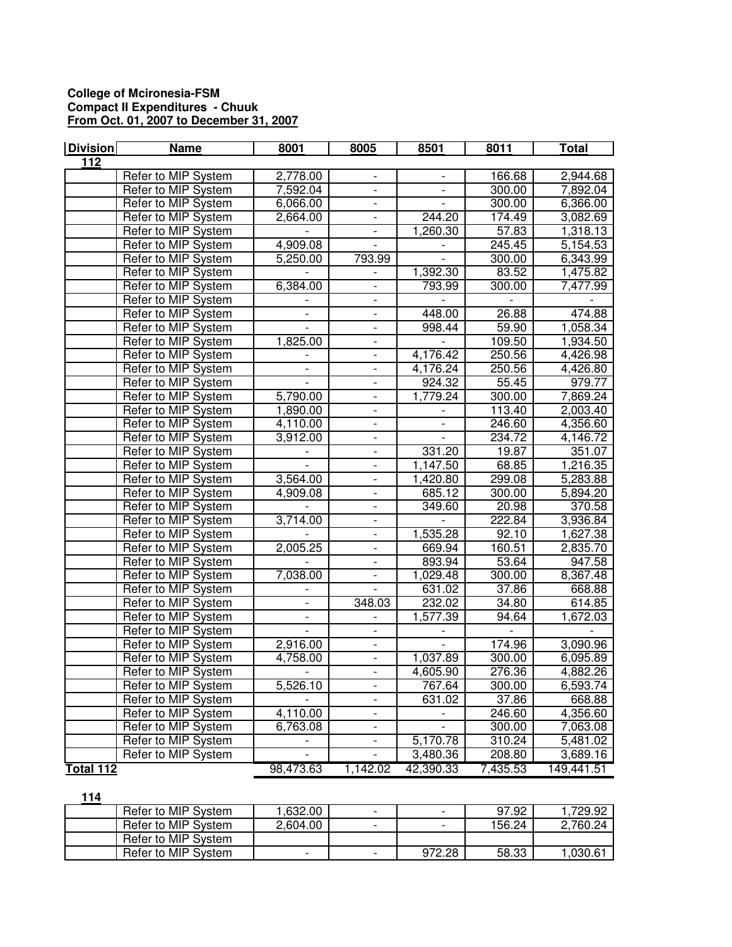## **College of Mcironesia-FSM Compact II Expenditures - Chuuk From Oct. 01, 2007 to December 31, 2007**

| <b>Division</b> | <b>Name</b>         | 8001                     | 8005                      | 8501                     | 8011     | <b>Total</b> |
|-----------------|---------------------|--------------------------|---------------------------|--------------------------|----------|--------------|
| $\frac{11}{2}$  |                     |                          |                           |                          |          |              |
|                 | Refer to MIP System | 2,778.00                 |                           |                          | 166.68   | 2,944.68     |
|                 | Refer to MIP System | 7,592.04                 | $\overline{a}$            |                          | 300.00   | 7,892.04     |
|                 | Refer to MIP System | 6,066.00                 | $\mathbb{L}^{\mathbb{Z}}$ | $\overline{a}$           | 300.00   | 6,366.00     |
|                 | Refer to MIP System | 2,664.00                 | $\overline{\phantom{a}}$  | 244.20                   | 174.49   | 3,082.69     |
|                 | Refer to MIP System |                          | $\blacksquare$            | 1,260.30                 | 57.83    | 1,318.13     |
|                 | Refer to MIP System | 4,909.08                 | $\blacksquare$            |                          | 245.45   | 5,154.53     |
|                 | Refer to MIP System | 5,250.00                 | 793.99                    |                          | 300.00   | 6,343.99     |
|                 | Refer to MIP System |                          |                           | 1,392.30                 | 83.52    | 1,475.82     |
|                 | Refer to MIP System | 6,384.00                 | $\overline{\phantom{a}}$  | 793.99                   | 300.00   | 7,477.99     |
|                 | Refer to MIP System |                          | $\overline{\phantom{a}}$  |                          |          |              |
|                 | Refer to MIP System |                          | $\overline{\phantom{a}}$  | 448.00                   | 26.88    | 474.88       |
|                 | Refer to MIP System |                          | $\frac{1}{2}$             | 998.44                   | 59.90    | 1,058.34     |
|                 | Refer to MIP System | 1,825.00                 |                           |                          | 109.50   | 1,934.50     |
|                 | Refer to MIP System |                          |                           | 4,176.42                 | 250.56   | 4,426.98     |
|                 | Refer to MIP System | $\blacksquare$           | $\blacksquare$            | 4,176.24                 | 250.56   | 4,426.80     |
|                 | Refer to MIP System |                          | $\overline{\phantom{a}}$  | 924.32                   | 55.45    | 979.77       |
|                 | Refer to MIP System | 5,790.00                 | $\overline{\phantom{a}}$  | 1,779.24                 | 300.00   | 7,869.24     |
|                 | Refer to MIP System | 1,890.00                 | $\overline{\phantom{a}}$  |                          | 113.40   | 2,003.40     |
|                 | Refer to MIP System | 4,110.00                 | $\overline{\phantom{a}}$  | $\overline{\phantom{a}}$ | 246.60   | 4,356.60     |
|                 | Refer to MIP System | 3,912.00                 | $\overline{\phantom{a}}$  |                          | 234.72   | 4,146.72     |
|                 | Refer to MIP System |                          | $\overline{\phantom{a}}$  | 331.20                   | 19.87    | 351.07       |
|                 | Refer to MIP System |                          | $\frac{1}{2}$             | 1,147.50                 | 68.85    | 1,216.35     |
|                 | Refer to MIP System | 3,564.00                 |                           | 1,420.80                 | 299.08   | 5,283.88     |
|                 | Refer to MIP System | 4,909.08                 |                           | 685.12                   | 300.00   | 5,894.20     |
|                 | Refer to MIP System |                          | $\overline{\phantom{0}}$  | 349.60                   | 20.98    | 370.58       |
|                 | Refer to MIP System | 3,714.00                 |                           |                          | 222.84   | 3,936.84     |
|                 | Refer to MIP System |                          | $\overline{a}$            | 1,535.28                 | 92.10    | 1,627.38     |
|                 | Refer to MIP System | 2,005.25                 | $\mathbb{L}^{\mathbb{Z}}$ | 669.94                   | 160.51   | 2,835.70     |
|                 | Refer to MIP System |                          | $\blacksquare$            | 893.94                   | 53.64    | 947.58       |
|                 | Refer to MIP System | 7,038.00                 | $\overline{\phantom{a}}$  | 1,029.48                 | 300.00   | 8,367.48     |
|                 | Refer to MIP System |                          | $\blacksquare$            | 631.02                   | 37.86    | 668.88       |
|                 | Refer to MIP System |                          | 348.03                    | 232.02                   | 34.80    | 614.85       |
|                 | Refer to MIP System |                          |                           | 1,577.39                 | 94.64    | 1,672.03     |
|                 | Refer to MIP System | $\overline{\phantom{a}}$ | $\overline{\phantom{a}}$  |                          |          |              |
|                 | Refer to MIP System | 2,916.00                 | $\blacksquare$            |                          | 174.96   | 3,090.96     |
|                 | Refer to MIP System | 4,758.00                 | $\overline{\phantom{0}}$  | 1,037.89                 | 300.00   | 6,095.89     |
|                 | Refer to MIP System |                          | $\frac{1}{2}$             | 4,605.90                 | 276.36   | 4,882.26     |
|                 | Refer to MIP System | 5,526.10                 |                           | 767.64                   | 300.00   | 6,593.74     |
|                 | Refer to MIP System |                          |                           | 631.02                   | 37.86    | 668.88       |
|                 | Refer to MIP System | 4,110.00                 | $\overline{\phantom{a}}$  |                          | 246.60   | 4,356.60     |
|                 | Refer to MIP System | 6,763.08                 | $\overline{\phantom{a}}$  |                          | 300.00   | 7,063.08     |
|                 | Refer to MIP System |                          | $\overline{\phantom{a}}$  | 5,170.78                 | 310.24   | 5,481.02     |
|                 | Refer to MIP System | $\overline{a}$           | $\overline{\phantom{0}}$  | 3,480.36                 | 208.80   | 3,689.16     |
| Total 112       |                     | 98,473.63                | 1,142.02                  | 42,390.33                | 7,435.53 | 149,441.51   |

| 114 |                     |                          |                          |                          |        |          |
|-----|---------------------|--------------------------|--------------------------|--------------------------|--------|----------|
|     | Refer to MIP System | .632.00                  | $\overline{\phantom{0}}$ | $\overline{\phantom{a}}$ | 97.92  | .729.92  |
|     | Refer to MIP System | 2,604.00                 | $\overline{\phantom{0}}$ | $\overline{\phantom{a}}$ | 156.24 | 2.760.24 |
|     | Refer to MIP System |                          |                          |                          |        |          |
|     | Refer to MIP System | $\overline{\phantom{0}}$ | $\overline{\phantom{0}}$ | 972.28                   | 58.33  | 1.030.61 |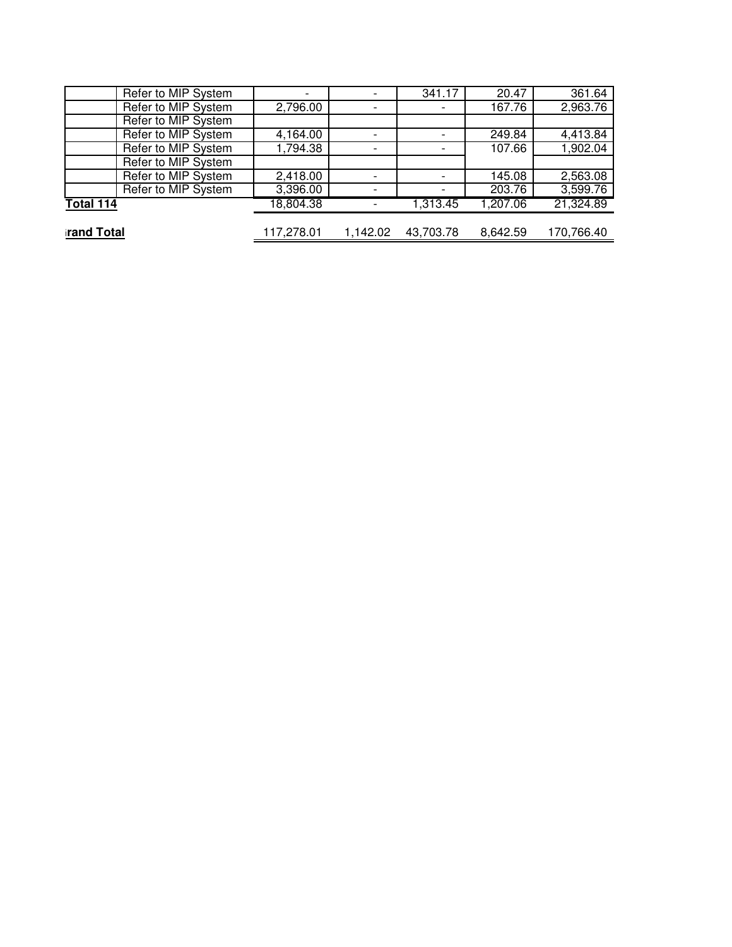| Refer to MIP System | $\overline{\phantom{a}}$ |          | 341.17    | 20.47    | 361.64     |
|---------------------|--------------------------|----------|-----------|----------|------------|
| Refer to MIP System | 2,796.00                 |          |           | 167.76   | 2,963.76   |
| Refer to MIP System |                          |          |           |          |            |
| Refer to MIP System | 4,164.00                 |          |           | 249.84   | 4,413.84   |
| Refer to MIP System | 1,794.38                 |          |           | 107.66   | 1,902.04   |
| Refer to MIP System |                          |          |           |          |            |
| Refer to MIP System | 2,418.00                 |          |           | 145.08   | 2,563.08   |
| Refer to MIP System | 3,396.00                 |          |           | 203.76   | 3,599.76   |
| Total 114           | 18,804.38                |          | 1,313.45  | 1,207.06 | 21,324.89  |
|                     |                          |          |           |          |            |
| <b>irand Total</b>  | 117,278.01               | 1,142.02 | 43,703.78 | 8,642.59 | 170,766.40 |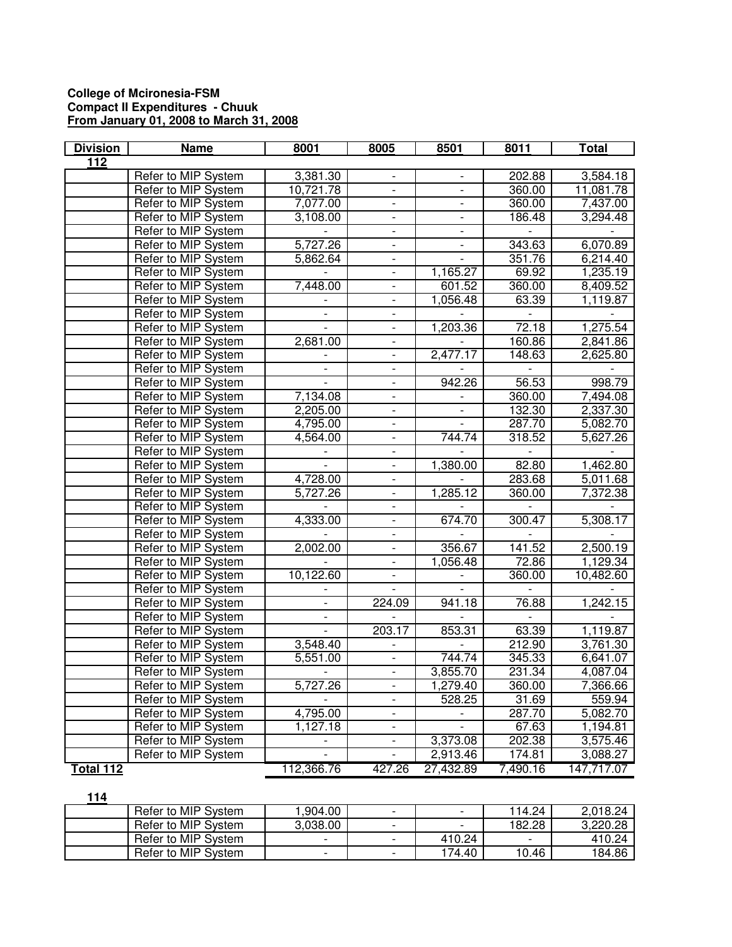## **College of Mcironesia-FSM Compact II Expenditures - Chuuk From January 01, 2008 to March 31, 2008**

| <b>Division</b> | <b>Name</b>         | 8001                     | 8005                     | 8501                     | 8011     | <b>Total</b> |
|-----------------|---------------------|--------------------------|--------------------------|--------------------------|----------|--------------|
| 112             |                     |                          |                          |                          |          |              |
|                 | Refer to MIP System | 3,381.30                 |                          |                          | 202.88   | 3,584.18     |
|                 | Refer to MIP System | 10,721.78                | $\overline{a}$           | L.                       | 360.00   | 11,081.78    |
|                 | Refer to MIP System | 7,077.00                 | $\overline{\phantom{0}}$ | $\overline{\phantom{0}}$ | 360.00   | 7,437.00     |
|                 | Refer to MIP System | 3,108.00                 | $\overline{\phantom{0}}$ | $\overline{\phantom{a}}$ | 186.48   | 3,294.48     |
|                 | Refer to MIP System |                          | $\overline{\phantom{a}}$ | $\overline{\phantom{a}}$ |          |              |
|                 | Refer to MIP System | 5,727.26                 | $\overline{\phantom{a}}$ | $\overline{\phantom{a}}$ | 343.63   | 6,070.89     |
|                 | Refer to MIP System | 5,862.64                 | $\frac{1}{2}$            |                          | 351.76   | 6,214.40     |
|                 | Refer to MIP System | $\overline{a}$           | $\overline{\phantom{a}}$ | 1,165.27                 | 69.92    | 1,235.19     |
|                 | Refer to MIP System | 7,448.00                 | $\overline{\phantom{a}}$ | 601.52                   | 360.00   | 8,409.52     |
|                 | Refer to MIP System |                          |                          | 1,056.48                 | 63.39    | 1,119.87     |
|                 | Refer to MIP System |                          | $\overline{\phantom{0}}$ |                          |          |              |
|                 | Refer to MIP System |                          |                          | 1,203.36                 | 72.18    | 1,275.54     |
|                 | Refer to MIP System | 2,681.00                 |                          |                          | 160.86   | 2,841.86     |
|                 | Refer to MIP System |                          |                          | 2,477.17                 | 148.63   | 2,625.80     |
|                 | Refer to MIP System | $\overline{\phantom{0}}$ | ÷,                       |                          |          |              |
|                 | Refer to MIP System |                          | ÷,                       | 942.26                   | 56.53    | 998.79       |
|                 | Refer to MIP System | 7,134.08                 | $\overline{\phantom{0}}$ | $\overline{\phantom{a}}$ | 360.00   | 7,494.08     |
|                 | Refer to MIP System | 2,205.00                 | $\overline{\phantom{0}}$ | $\overline{\phantom{a}}$ | 132.30   | 2,337.30     |
|                 | Refer to MIP System | 4,795.00                 | $\overline{\phantom{a}}$ |                          | 287.70   | 5,082.70     |
|                 | Refer to MIP System | 4,564.00                 | $\overline{\phantom{a}}$ | 744.74                   | 318.52   | 5,627.26     |
|                 | Refer to MIP System |                          | $\qquad \qquad -$        |                          |          |              |
|                 | Refer to MIP System |                          | $\overline{a}$           | 1,380.00                 | 82.80    | 1,462.80     |
|                 | Refer to MIP System | 4,728.00                 |                          |                          | 283.68   | 5,011.68     |
|                 | Refer to MIP System | 5,727.26                 |                          | 1,285.12                 | 360.00   | 7,372.38     |
|                 | Refer to MIP System |                          |                          |                          |          |              |
|                 | Refer to MIP System | 4,333.00                 |                          | 674.70                   | 300.47   | 5,308.17     |
|                 | Refer to MIP System | L.                       | $\overline{a}$           | $\overline{a}$           |          |              |
|                 | Refer to MIP System | 2,002.00                 | ÷.                       | 356.67                   | 141.52   | 2,500.19     |
|                 | Refer to MIP System |                          | ÷,                       | 1,056.48                 | 72.86    | 1,129.34     |
|                 | Refer to MIP System | 10,122.60                | $\overline{\phantom{0}}$ |                          | 360.00   | 10,482.60    |
|                 | Refer to MIP System |                          | $\overline{\phantom{a}}$ |                          |          |              |
|                 | Refer to MIP System |                          | 224.09                   | 941.18                   | 76.88    | 1,242.15     |
|                 | Refer to MIP System | $\overline{\phantom{a}}$ |                          |                          |          |              |
|                 | Refer to MIP System | $\overline{\phantom{0}}$ | 203.17                   | 853.31                   | 63.39    | 1,119.87     |
|                 | Refer to MIP System | 3,548.40                 |                          | $\overline{\phantom{a}}$ | 212.90   | 3,761.30     |
|                 | Refer to MIP System | 5,551.00                 |                          | 744.74                   | 345.33   | 6,641.07     |
|                 | Refer to MIP System | $\overline{\phantom{a}}$ | ÷,                       | 3,855.70                 | 231.34   | 4,087.04     |
|                 | Refer to MIP System | 5,727.26                 |                          | 1,279.40                 | 360.00   | 7,366.66     |
|                 | Refer to MIP System |                          |                          | 528.25                   | 31.69    | 559.94       |
|                 | Refer to MIP System | 4,795.00                 | $\frac{1}{2}$            |                          | 287.70   | 5,082.70     |
|                 | Refer to MIP System | 1,127.18                 | $\overline{\phantom{0}}$ | $\overline{a}$           | 67.63    | 1,194.81     |
|                 | Refer to MIP System | $\overline{\phantom{a}}$ | ۰                        | 3,373.08                 | 202.38   | 3,575.46     |
|                 | Refer to MIP System |                          | $\overline{\phantom{0}}$ | 2,913.46                 | 174.81   | 3,088.27     |
| Total 112       |                     | 112,366.76               | 427.26                   | 27,432.89                | 7,490.16 | 147,717.07   |

**114**

| Refer to MIP System | .904.00                  |                          | $\overline{\phantom{a}}$ | 114.24                   | 2.018.24 |
|---------------------|--------------------------|--------------------------|--------------------------|--------------------------|----------|
| Refer to MIP System | 3,038.00                 | $\overline{\phantom{0}}$ | $\overline{\phantom{a}}$ | 182.28                   | 3,220.28 |
| Refer to MIP System | $\overline{\phantom{0}}$ |                          | 410.24                   | $\overline{\phantom{0}}$ | 410.24   |
| Refer to MIP System | $\overline{\phantom{0}}$ |                          | 74.40                    | 10.46                    | 184.86   |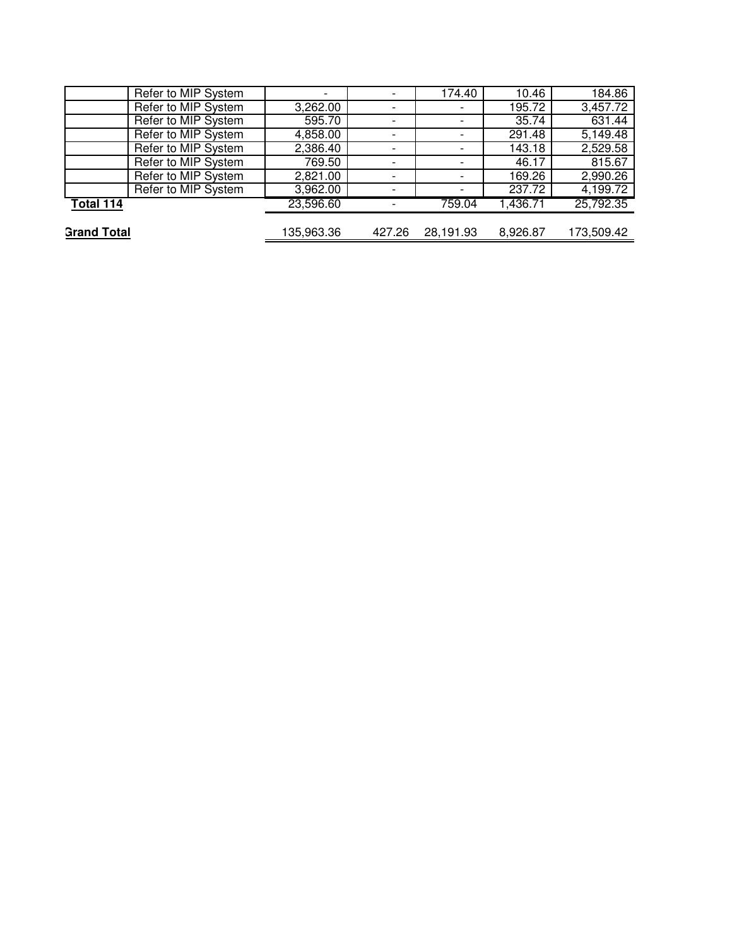| Refer to MIP System | $\overline{\phantom{0}}$ |                          | 174.40                   | 10.46    | 184.86     |
|---------------------|--------------------------|--------------------------|--------------------------|----------|------------|
| Refer to MIP System | 3,262.00                 | $\overline{\phantom{0}}$ | $\overline{\phantom{a}}$ | 195.72   | 3,457.72   |
| Refer to MIP System | 595.70                   |                          |                          | 35.74    | 631.44     |
| Refer to MIP System | 4,858.00                 |                          |                          | 291.48   | 5,149.48   |
| Refer to MIP System | 2,386.40                 | $\overline{\phantom{0}}$ | $\overline{\phantom{0}}$ | 143.18   | 2,529.58   |
| Refer to MIP System | 769.50                   |                          | $\overline{\phantom{a}}$ | 46.17    | 815.67     |
| Refer to MIP System | 2,821.00                 |                          |                          | 169.26   | 2,990.26   |
| Refer to MIP System | 3,962.00                 |                          | $\overline{\phantom{a}}$ | 237.72   | 4,199.72   |
| Total 114           | 23,596.60                |                          | 759.04                   | 1,436.71 | 25,792.35  |
|                     |                          |                          |                          |          |            |
| <b>Grand Total</b>  | 135,963.36               | 427.26                   | 28,191.93                | 8,926.87 | 173,509.42 |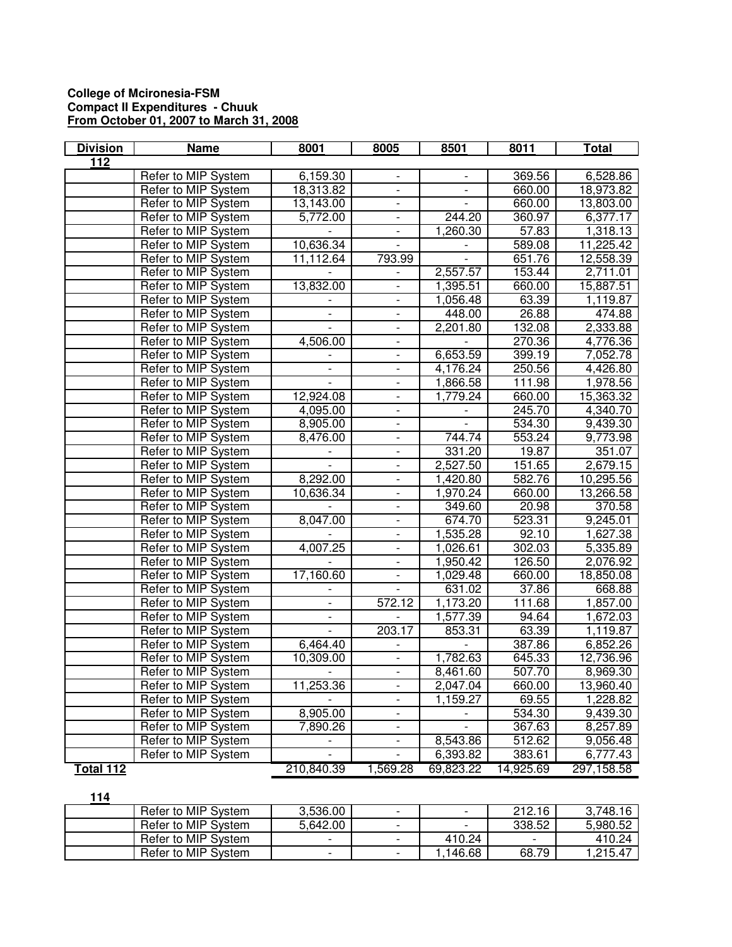## **College of Mcironesia-FSM Compact II Expenditures - Chuuk From October 01, 2007 to March 31, 2008**

| <b>Division</b>  | <b>Name</b>         | 8001                     | 8005                         | 8501                     | 8011      | Total      |
|------------------|---------------------|--------------------------|------------------------------|--------------------------|-----------|------------|
| $\overline{112}$ |                     |                          |                              |                          |           |            |
|                  | Refer to MIP System | 6,159.30                 |                              |                          | 369.56    | 6,528.86   |
|                  | Refer to MIP System | 18,313.82                | $\frac{1}{2}$                | $\overline{a}$           | 660.00    | 18,973.82  |
|                  | Refer to MIP System | 13,143.00                | $\blacksquare$               | ÷.                       | 660.00    | 13,803.00  |
|                  | Refer to MIP System | 5,772.00                 | $\blacksquare$               | 244.20                   | 360.97    | 6,377.17   |
|                  | Refer to MIP System |                          | $\blacksquare$               | 1,260.30                 | 57.83     | 1,318.13   |
|                  | Refer to MIP System | 10,636.34                | $\overline{\phantom{a}}$     |                          | 589.08    | 11,225.42  |
|                  | Refer to MIP System | 11,112.64                | 793.99                       |                          | 651.76    | 12,558.39  |
|                  | Refer to MIP System |                          |                              | 2,557.57                 | 153.44    | 2,711.01   |
|                  | Refer to MIP System | 13,832.00                | $\overline{\phantom{a}}$     | 1,395.51                 | 660.00    | 15,887.51  |
|                  | Refer to MIP System |                          |                              | 1,056.48                 | 63.39     | 1,119.87   |
|                  | Refer to MIP System |                          | $\qquad \qquad \blacksquare$ | 448.00                   | 26.88     | 474.88     |
|                  | Refer to MIP System |                          | $\qquad \qquad \blacksquare$ | 2,201.80                 | 132.08    | 2,333.88   |
|                  | Refer to MIP System | 4,506.00                 | $\overline{\phantom{0}}$     |                          | 270.36    | 4,776.36   |
|                  | Refer to MIP System |                          | $\frac{1}{2}$                | 6,653.59                 | 399.19    | 7,052.78   |
|                  | Refer to MIP System | $\overline{\phantom{0}}$ | $\overline{\phantom{a}}$     | 4,176.24                 | 250.56    | 4,426.80   |
|                  | Refer to MIP System | $\overline{\phantom{0}}$ | $\overline{\phantom{a}}$     | 1,866.58                 | 111.98    | 1,978.56   |
|                  | Refer to MIP System | 12,924.08                | $\overline{\phantom{a}}$     | 1,779.24                 | 660.00    | 15,363.32  |
|                  | Refer to MIP System | 4,095.00                 | $\overline{\phantom{a}}$     | $\overline{\phantom{0}}$ | 245.70    | 4,340.70   |
|                  | Refer to MIP System | 8,905.00                 | $\overline{\phantom{a}}$     |                          | 534.30    | 9,439.30   |
|                  | Refer to MIP System | 8,476.00                 | $\qquad \qquad \blacksquare$ | 744.74                   | 553.24    | 9,773.98   |
|                  | Refer to MIP System |                          | $\frac{1}{2}$                | 331.20                   | 19.87     | 351.07     |
|                  | Refer to MIP System |                          | $\frac{1}{2}$                | 2,527.50                 | 151.65    | 2,679.15   |
|                  | Refer to MIP System | 8,292.00                 |                              | 1,420.80                 | 582.76    | 10,295.56  |
|                  | Refer to MIP System | 10,636.34                | $\overline{a}$               | 1,970.24                 | 660.00    | 13,266.58  |
|                  | Refer to MIP System |                          | $\overline{\phantom{0}}$     | 349.60                   | 20.98     | 370.58     |
|                  | Refer to MIP System | 8,047.00                 | $\overline{\phantom{0}}$     | 674.70                   | 523.31    | 9,245.01   |
|                  | Refer to MIP System |                          | $\frac{1}{2}$                | 1,535.28                 | 92.10     | 1,627.38   |
|                  | Refer to MIP System | 4,007.25                 | $\overline{a}$               | 1,026.61                 | 302.03    | 5,335.89   |
|                  | Refer to MIP System |                          | $\blacksquare$               | 1,950.42                 | 126.50    | 2,076.92   |
|                  | Refer to MIP System | 17,160.60                | $\overline{\phantom{a}}$     | 1,029.48                 | 660.00    | 18,850.08  |
|                  | Refer to MIP System |                          | $\qquad \qquad \blacksquare$ | 631.02                   | 37.86     | 668.88     |
|                  | Refer to MIP System |                          | $\overline{572.12}$          | 1,173.20                 | 111.68    | 1,857.00   |
|                  | Refer to MIP System | $\qquad \qquad -$        |                              | 1,577.39                 | 94.64     | 1,672.03   |
|                  | Refer to MIP System | $\overline{\phantom{a}}$ | 203.17                       | 853.31                   | 63.39     | 1,119.87   |
|                  | Refer to MIP System | 6,464.40                 |                              |                          | 387.86    | 6,852.26   |
|                  | Refer to MIP System | 10,309.00                |                              | 1,782.63                 | 645.33    | 12,736.96  |
|                  | Refer to MIP System | $\blacksquare$           | $\frac{1}{2}$                | 8,461.60                 | 507.70    | 8,969.30   |
|                  | Refer to MIP System | 11,253.36                |                              | 2,047.04                 | 660.00    | 13,960.40  |
|                  | Refer to MIP System |                          |                              | 1,159.27                 | 69.55     | 1,228.82   |
|                  | Refer to MIP System | 8,905.00                 | $\blacksquare$               |                          | 534.30    | 9,439.30   |
|                  | Refer to MIP System | 7,890.26                 | $\overline{\phantom{0}}$     | $\overline{a}$           | 367.63    | 8,257.89   |
|                  | Refer to MIP System | $\overline{\phantom{a}}$ | $\overline{\phantom{a}}$     | 8,543.86                 | 512.62    | 9,056.48   |
|                  | Refer to MIP System | $\frac{1}{2}$            | $\overline{\phantom{0}}$     | 6,393.82                 | 383.61    | 6,777.43   |
| Total 112        |                     | 210,840.39               | 1,569.28                     | 69,823.22                | 14,925.69 | 297,158.58 |

## **114**

| Refer to MIP System | 3,536.00 | $\sim$                   | $\overline{\phantom{a}}$ | 212.16                   | 3.748.16 |
|---------------------|----------|--------------------------|--------------------------|--------------------------|----------|
| Refer to MIP System | 5,642.00 | $\sim$                   | $\overline{\phantom{0}}$ | 338.52                   | 5.980.52 |
| Refer to MIP System | ۰.       | $\overline{\phantom{0}}$ | 410.24                   | $\overline{\phantom{0}}$ | 410.24   |
| Refer to MIP System | ۰.       | $\overline{\phantom{0}}$ | .146.68                  | 68.79                    | 215.47.، |